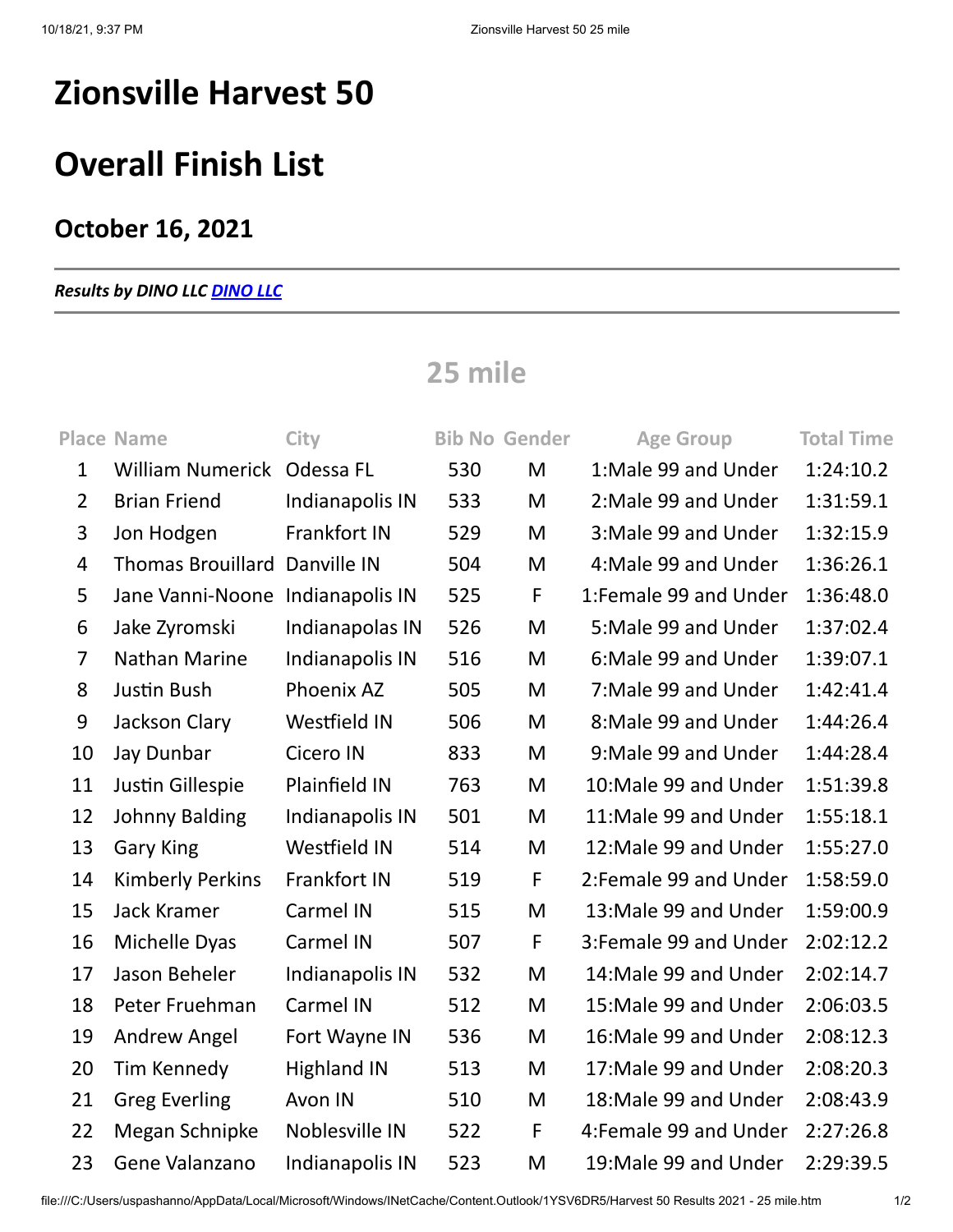# **Zionsville Harvest 50**

## **Overall Finish List**

### **October 16, 2021**

### *Results by DINO LLC [DINO LLC](http://www.dinoseries.com/)*

### **25 mile**

|                | <b>Place Name</b>                | <b>City</b>         |     | <b>Bib No Gender</b> | <b>Age Group</b>       | <b>Total Time</b> |
|----------------|----------------------------------|---------------------|-----|----------------------|------------------------|-------------------|
| $\mathbf{1}$   | William Numerick Odessa FL       |                     | 530 | M                    | 1:Male 99 and Under    | 1:24:10.2         |
| $\overline{2}$ | <b>Brian Friend</b>              | Indianapolis IN     | 533 | M                    | 2: Male 99 and Under   | 1:31:59.1         |
| 3              | Jon Hodgen                       | Frankfort IN        | 529 | M                    | 3: Male 99 and Under   | 1:32:15.9         |
| 4              | Thomas Brouillard Danville IN    |                     | 504 | M                    | 4: Male 99 and Under   | 1:36:26.1         |
| 5              | Jane Vanni-Noone Indianapolis IN |                     | 525 | F                    | 1:Female 99 and Under  | 1:36:48.0         |
| 6              | Jake Zyromski                    | Indianapolas IN     | 526 | M                    | 5: Male 99 and Under   | 1:37:02.4         |
| $\overline{7}$ | Nathan Marine                    | Indianapolis IN     | 516 | M                    | 6: Male 99 and Under   | 1:39:07.1         |
| 8              | Justin Bush                      | Phoenix AZ          | 505 | M                    | 7: Male 99 and Under   | 1:42:41.4         |
| 9              | Jackson Clary                    | Westfield IN        | 506 | M                    | 8: Male 99 and Under   | 1:44:26.4         |
| 10             | Jay Dunbar                       | Cicero IN           | 833 | M                    | 9: Male 99 and Under   | 1:44:28.4         |
| 11             | Justin Gillespie                 | Plainfield IN       | 763 | M                    | 10:Male 99 and Under   | 1:51:39.8         |
| 12             | Johnny Balding                   | Indianapolis IN     | 501 | M                    | 11:Male 99 and Under   | 1:55:18.1         |
| 13             | <b>Gary King</b>                 | <b>Westfield IN</b> | 514 | M                    | 12: Male 99 and Under  | 1:55:27.0         |
| 14             | <b>Kimberly Perkins</b>          | Frankfort IN        | 519 | F                    | 2: Female 99 and Under | 1:58:59.0         |
| 15             | <b>Jack Kramer</b>               | Carmel IN           | 515 | M                    | 13: Male 99 and Under  | 1:59:00.9         |
| 16             | Michelle Dyas                    | Carmel IN           | 507 | F                    | 3: Female 99 and Under | 2:02:12.2         |
| 17             | Jason Beheler                    | Indianapolis IN     | 532 | M                    | 14: Male 99 and Under  | 2:02:14.7         |
| 18             | Peter Fruehman                   | Carmel IN           | 512 | M                    | 15: Male 99 and Under  | 2:06:03.5         |
| 19             | <b>Andrew Angel</b>              | Fort Wayne IN       | 536 | M                    | 16: Male 99 and Under  | 2:08:12.3         |
| 20             | Tim Kennedy                      | <b>Highland IN</b>  | 513 | M                    | 17: Male 99 and Under  | 2:08:20.3         |
| 21             | <b>Greg Everling</b>             | Avon IN             | 510 | M                    | 18: Male 99 and Under  | 2:08:43.9         |
| 22             | Megan Schnipke                   | Noblesville IN      | 522 | $\mathsf F$          | 4: Female 99 and Under | 2:27:26.8         |
| 23             | Gene Valanzano                   | Indianapolis IN     | 523 | M                    | 19: Male 99 and Under  | 2:29:39.5         |